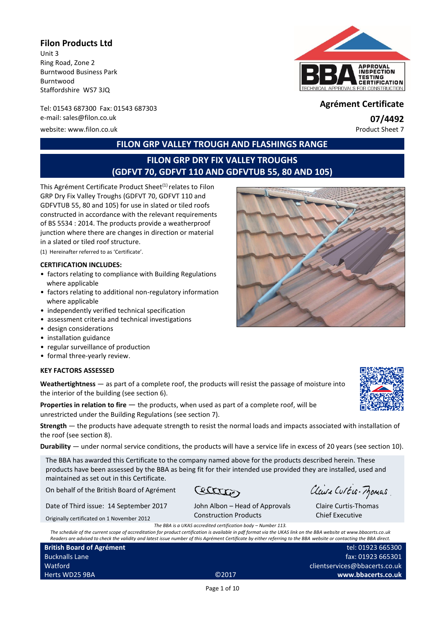**Filon Products Ltd**

Unit 3 Ring Road, Zone 2 Burntwood Business Park Burntwood Staffordshire WS7 3JQ

Tel: 01543 687300 Fax: 01543 <sup>687303</sup> **Agrément Certificate** e-mail: sales@filon.co.uk **07/4492**<br>
website: www.filon.co.uk **07/4492**<br>
Product Sheet 7

website: www.filon.co.uk



# **FILON GRP VALLEY TROUGH AND FLASHINGS RANGE**

# **FILON GRP DRY FIX VALLEY TROUGHS (GDFVT 70, GDFVT 110 AND GDFVTUB 55, 80 AND 105)**

This Agrément Certificate Product Sheet $(1)$  relates to Filon GRP Dry Fix Valley Troughs (GDFVT 70, GDFVT 110 and GDFVTUB 55, 80 and 105) for use in slated or tiled roofs constructed in accordance with the relevant requirements of BS 5534 : 2014. The products provide a weatherproof junction where there are changes in direction or material in a slated or tiled roof structure.

(1) Hereinafter referred to as 'Certificate'.

#### **CERTIFICATION INCLUDES:**

- factors relating to compliance with Building Regulations where applicable
- factors relating to additional non-regulatory information where applicable
- independently verified technical specification
- assessment criteria and technical investigations
- design considerations
- installation guidance
- regular surveillance of production
- formal three-yearly review.

#### **KEY FACTORS ASSESSED**

**Weathertightness** — as part of a complete roof, the products will resist the passage of moisture into the interior of the building (see section 6).

**Properties in relation to fire**  $-$  the products, when used as part of a complete roof, will be unrestricted under the Building Regulations (see section 7).

**Strength** — the products have adequate strength to resist the normal loads and impacts associated with installation of the roof (see section 8).

**Durability** — under normal service conditions, the products will have a service life in excess of 20 years (see section 10).

The BBA has awarded this Certificate to the company named above for the products described herein. These products have been assessed by the BBA as being fit for their intended use provided they are installed, used and maintained as set out in this Certificate.

On behalf of the British Board of Agrément

Cerricos

Date of Third issue: 14 September 2017

Claire Curtis-Momas

John Albon – Head of Approvals Construction Products

Claire Curtis-Thomas Chief Executive

Originally certificated on 1 November 2012

ment

*The BBA is a UKAS accredited certification body – Number 113.*

*The schedule of the current scope of accreditation for product certification is available in pdf format via the UKAS link on the BBA website at www.bbacerts.co.uk Readers are advised to check the validity and latest issue number of this Agrément Certificate by either referring to the BBA website or contacting the BBA direct.*

| <b>British Board of Agrement</b> |       |  |
|----------------------------------|-------|--|
| <b>Bucknalls Lane</b>            |       |  |
| Watford                          |       |  |
| Herts WD25 9BA                   | ©2017 |  |

tel: 01923 665300 fax: 01923 665301 clientservices@bbacerts.co.uk **www.bbacerts.co.uk**

Page 1 of 10

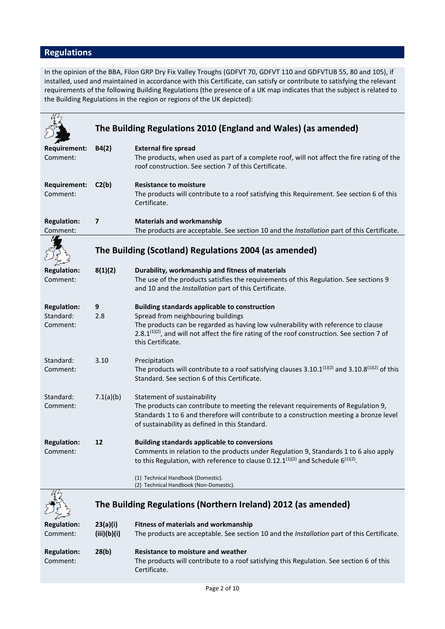# **Regulations**

In the opinion of the BBA, Filon GRP Dry Fix Valley Troughs (GDFVT 70, GDFVT 110 and GDFVTUB 55, 80 and 105), if installed, used and maintained in accordance with this Certificate, can satisfy or contribute to satisfying the relevant requirements of the following Building Regulations (the presence of a UK map indicates that the subject is related to the Building Regulations in the region or regions of the UK depicted):

|                                             |                         | The Building Regulations 2010 (England and Wales) (as amended)                                                                                                                                                                                                                                                        |
|---------------------------------------------|-------------------------|-----------------------------------------------------------------------------------------------------------------------------------------------------------------------------------------------------------------------------------------------------------------------------------------------------------------------|
|                                             |                         |                                                                                                                                                                                                                                                                                                                       |
| <b>Requirement:</b><br>Comment:             | B4(2)                   | <b>External fire spread</b><br>The products, when used as part of a complete roof, will not affect the fire rating of the<br>roof construction. See section 7 of this Certificate.                                                                                                                                    |
| <b>Requirement:</b><br>Comment:             | C2(b)                   | <b>Resistance to moisture</b><br>The products will contribute to a roof satisfying this Requirement. See section 6 of this<br>Certificate.                                                                                                                                                                            |
| <b>Regulation:</b><br>Comment:              | $\overline{\mathbf{z}}$ | <b>Materials and workmanship</b><br>The products are acceptable. See section 10 and the Installation part of this Certificate.                                                                                                                                                                                        |
|                                             |                         |                                                                                                                                                                                                                                                                                                                       |
|                                             |                         | The Building (Scotland) Regulations 2004 (as amended)                                                                                                                                                                                                                                                                 |
| <b>Regulation:</b><br>Comment:              | 8(1)(2)                 | Durability, workmanship and fitness of materials<br>The use of the products satisfies the requirements of this Regulation. See sections 9<br>and 10 and the Installation part of this Certificate.                                                                                                                    |
| <b>Regulation:</b><br>Standard:<br>Comment: | 9<br>2.8                | <b>Building standards applicable to construction</b><br>Spread from neighbouring buildings<br>The products can be regarded as having low vulnerability with reference to clause<br>2.8.1 <sup>(1)(2)</sup> , and will not affect the fire rating of the roof construction. See section 7 of<br>this Certificate.      |
| Standard:<br>Comment:                       | 3.10                    | Precipitation<br>The products will contribute to a roof satisfying clauses 3.10.1 $(1)(2)$ and 3.10.8 $(1)(2)$ of this<br>Standard. See section 6 of this Certificate.                                                                                                                                                |
| Standard:<br>Comment:                       | 7.1(a)(b)               | Statement of sustainability<br>The products can contribute to meeting the relevant requirements of Regulation 9,<br>Standards 1 to 6 and therefore will contribute to a construction meeting a bronze level<br>of sustainability as defined in this Standard.                                                         |
| <b>Regulation:</b><br>Comment:              | 12                      | <b>Building standards applicable to conversions</b><br>Comments in relation to the products under Regulation 9, Standards 1 to 6 also apply<br>to this Regulation, with reference to clause 0.12.1 $(1)(2)$ and Schedule 6 $(1)(2)$ .<br>(1) Technical Handbook (Domestic).<br>(2) Technical Handbook (Non-Domestic). |
|                                             |                         | The Building Regulations (Northern Ireland) 2012 (as amended)                                                                                                                                                                                                                                                         |
| <b>Regulation:</b><br>Comment:              | 23(a)(i)<br>(iii)(b)(i) | <b>Fitness of materials and workmanship</b><br>The products are acceptable. See section 10 and the Installation part of this Certificate.                                                                                                                                                                             |
| <b>Regulation:</b><br>Comment:              | 28(b)                   | <b>Resistance to moisture and weather</b><br>The products will contribute to a roof satisfying this Regulation. See section 6 of this<br>Certificate.                                                                                                                                                                 |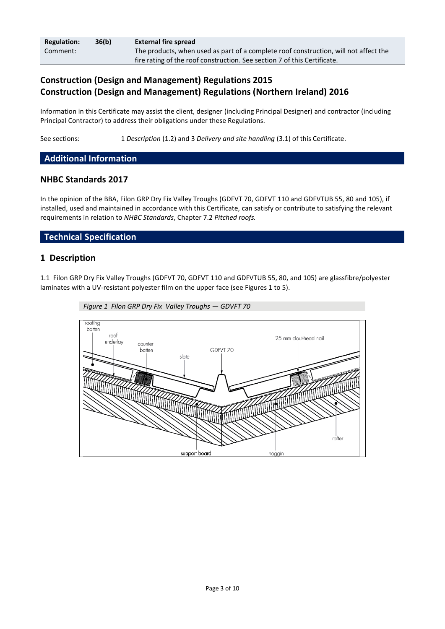| <b>Regulation:</b> | 36(b) | <b>External fire spread</b>                                                          |
|--------------------|-------|--------------------------------------------------------------------------------------|
| Comment:           |       | The products, when used as part of a complete roof construction, will not affect the |
|                    |       | fire rating of the roof construction. See section 7 of this Certificate.             |

# **Construction (Design and Management) Regulations 2015 Construction (Design and Management) Regulations (Northern Ireland) 2016**

Information in this Certificate may assist the client, designer (including Principal Designer) and contractor (including Principal Contractor) to address their obligations under these Regulations.

See sections: 1 *Description* (1.2) and 3 *Delivery and site handling* (3.1) of this Certificate.

# **Additional Information**

## **NHBC Standards 2017**

In the opinion of the BBA, Filon GRP Dry Fix Valley Troughs (GDFVT 70, GDFVT 110 and GDFVTUB 55, 80 and 105), if installed, used and maintained in accordance with this Certificate, can satisfy or contribute to satisfying the relevant requirements in relation to *NHBC Standards*, Chapter 7.2 *Pitched roofs.*

# **Technical Specification**

## **1 Description**

1.1 Filon GRP Dry Fix Valley Troughs (GDFVT 70, GDFVT 110 and GDFVTUB 55, 80, and 105) are glassfibre/polyester laminates with a UV-resistant polyester film on the upper face (see Figures 1 to 5).



*Figure 1 Filon GRP Dry Fix Valley Troughs — GDVFT 70*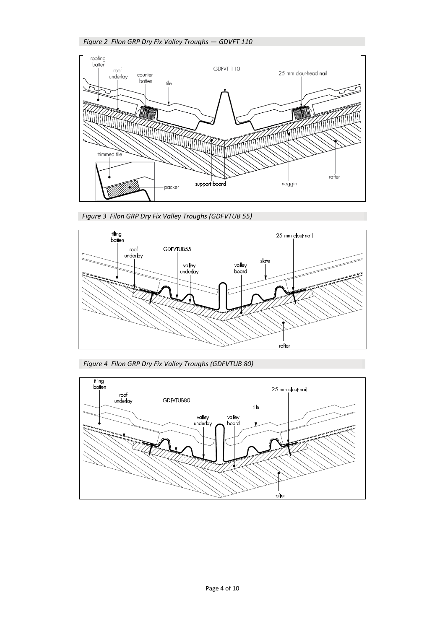



*Figure 3 Filon GRP Dry Fix Valley Troughs (GDFVTUB 55)*



*Figure 4 Filon GRP Dry Fix Valley Troughs (GDFVTUB 80)*

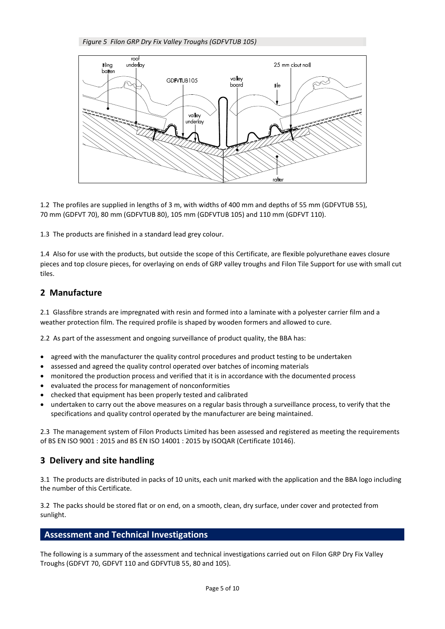*Figure 5 Filon GRP Dry Fix Valley Troughs (GDFVTUB 105)*



1.2 The profiles are supplied in lengths of 3 m, with widths of 400 mm and depths of 55 mm (GDFVTUB 55), 70 mm (GDFVT 70), 80 mm (GDFVTUB 80), 105 mm (GDFVTUB 105) and 110 mm (GDFVT 110).

1.3 The products are finished in a standard lead grey colour.

1.4 Also for use with the products, but outside the scope of this Certificate, are flexible polyurethane eaves closure pieces and top closure pieces, for overlaying on ends of GRP valley troughs and Filon Tile Support for use with small cut tiles.

# **2 Manufacture**

2.1 Glassfibre strands are impregnated with resin and formed into a laminate with a polyester carrier film and a weather protection film. The required profile is shaped by wooden formers and allowed to cure.

2.2 As part of the assessment and ongoing surveillance of product quality, the BBA has:

- agreed with the manufacturer the quality control procedures and product testing to be undertaken
- assessed and agreed the quality control operated over batches of incoming materials
- monitored the production process and verified that it is in accordance with the documented process
- evaluated the process for management of nonconformities
- checked that equipment has been properly tested and calibrated
- undertaken to carry out the above measures on a regular basis through a surveillance process, to verify that the specifications and quality control operated by the manufacturer are being maintained.

2.3 The management system of Filon Products Limited has been assessed and registered as meeting the requirements of BS EN ISO 9001 : 2015 and BS EN ISO 14001 : 2015 by ISOQAR (Certificate 10146).

# **3 Delivery and site handling**

3.1 The products are distributed in packs of 10 units, each unit marked with the application and the BBA logo including the number of this Certificate.

3.2 The packs should be stored flat or on end, on a smooth, clean, dry surface, under cover and protected from sunlight.

## **Assessment and Technical Investigations**

The following is a summary of the assessment and technical investigations carried out on Filon GRP Dry Fix Valley Troughs (GDFVT 70, GDFVT 110 and GDFVTUB 55, 80 and 105).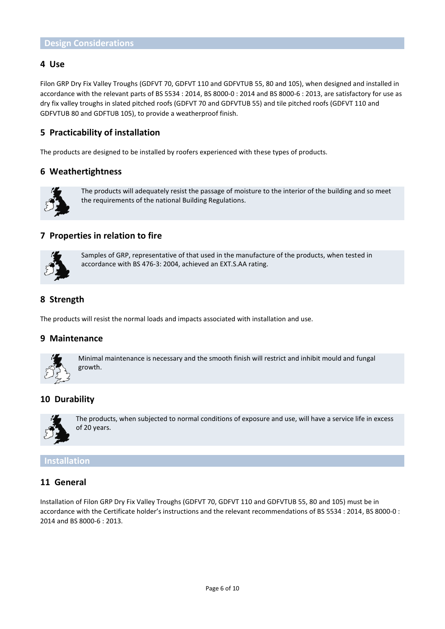#### **Design Considerations**

### **4 Use**

Filon GRP Dry Fix Valley Troughs (GDFVT 70, GDFVT 110 and GDFVTUB 55, 80 and 105), when designed and installed in accordance with the relevant parts of BS 5534 : 2014, BS 8000-0 : 2014 and BS 8000-6 : 2013, are satisfactory for use as dry fix valley troughs in slated pitched roofs (GDFVT 70 and GDFVTUB 55) and tile pitched roofs (GDFVT 110 and GDFVTUB 80 and GDFTUB 105), to provide a weatherproof finish.

# **5 Practicability of installation**

The products are designed to be installed by roofers experienced with these types of products.

### **6 Weathertightness**



The products will adequately resist the passage of moisture to the interior of the building and so meet the requirements of the national Building Regulations.

### **7 Properties in relation to fire**



Samples of GRP, representative of that used in the manufacture of the products, when tested in accordance with BS 476-3: 2004, achieved an EXT.S.AA rating.

## **8 Strength**

The products will resist the normal loads and impacts associated with installation and use.

#### **9 Maintenance**



Minimal maintenance is necessary and the smooth finish will restrict and inhibit mould and fungal growth.

## **10 Durability**



The products, when subjected to normal conditions of exposure and use, will have a service life in excess of 20 years.

### **Installation**

## **11 General**

Installation of Filon GRP Dry Fix Valley Troughs (GDFVT 70, GDFVT 110 and GDFVTUB 55, 80 and 105) must be in accordance with the Certificate holder's instructions and the relevant recommendations of BS 5534 : 2014, BS 8000-0 : 2014 and BS 8000-6 : 2013.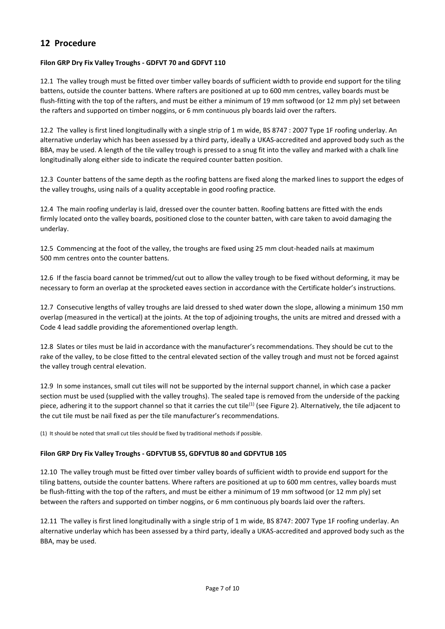# **12 Procedure**

#### **Filon GRP Dry Fix Valley Troughs - GDFVT 70 and GDFVT 110**

12.1 The valley trough must be fitted over timber valley boards of sufficient width to provide end support for the tiling battens, outside the counter battens. Where rafters are positioned at up to 600 mm centres, valley boards must be flush-fitting with the top of the rafters, and must be either a minimum of 19 mm softwood (or 12 mm ply) set between the rafters and supported on timber noggins, or 6 mm continuous ply boards laid over the rafters.

12.2 The valley is first lined longitudinally with a single strip of 1 m wide, BS 8747 : 2007 Type 1F roofing underlay. An alternative underlay which has been assessed by a third party, ideally a UKAS-accredited and approved body such as the BBA, may be used. A length of the tile valley trough is pressed to a snug fit into the valley and marked with a chalk line longitudinally along either side to indicate the required counter batten position.

12.3 Counter battens of the same depth as the roofing battens are fixed along the marked lines to support the edges of the valley troughs, using nails of a quality acceptable in good roofing practice.

12.4 The main roofing underlay is laid, dressed over the counter batten. Roofing battens are fitted with the ends firmly located onto the valley boards, positioned close to the counter batten, with care taken to avoid damaging the underlay.

12.5 Commencing at the foot of the valley, the troughs are fixed using 25 mm clout-headed nails at maximum 500 mm centres onto the counter battens.

12.6 If the fascia board cannot be trimmed/cut out to allow the valley trough to be fixed without deforming, it may be necessary to form an overlap at the sprocketed eaves section in accordance with the Certificate holder's instructions.

12.7 Consecutive lengths of valley troughs are laid dressed to shed water down the slope, allowing a minimum 150 mm overlap (measured in the vertical) at the joints. At the top of adjoining troughs, the units are mitred and dressed with a Code 4 lead saddle providing the aforementioned overlap length.

12.8 Slates or tiles must be laid in accordance with the manufacturer's recommendations. They should be cut to the rake of the valley, to be close fitted to the central elevated section of the valley trough and must not be forced against the valley trough central elevation.

12.9 In some instances, small cut tiles will not be supported by the internal support channel, in which case a packer section must be used (supplied with the valley troughs). The sealed tape is removed from the underside of the packing piece, adhering it to the support channel so that it carries the cut tile<sup>(1)</sup> (see Figure 2). Alternatively, the tile adjacent to the cut tile must be nail fixed as per the tile manufacturer's recommendations.

(1) It should be noted that small cut tiles should be fixed by traditional methods if possible.

#### **Filon GRP Dry Fix Valley Troughs - GDFVTUB 55, GDFVTUB 80 and GDFVTUB 105**

12.10 The valley trough must be fitted over timber valley boards of sufficient width to provide end support for the tiling battens, outside the counter battens. Where rafters are positioned at up to 600 mm centres, valley boards must be flush-fitting with the top of the rafters, and must be either a minimum of 19 mm softwood (or 12 mm ply) set between the rafters and supported on timber noggins, or 6 mm continuous ply boards laid over the rafters.

12.11 The valley is first lined longitudinally with a single strip of 1 m wide, BS 8747: 2007 Type 1F roofing underlay. An alternative underlay which has been assessed by a third party, ideally a UKAS-accredited and approved body such as the BBA, may be used.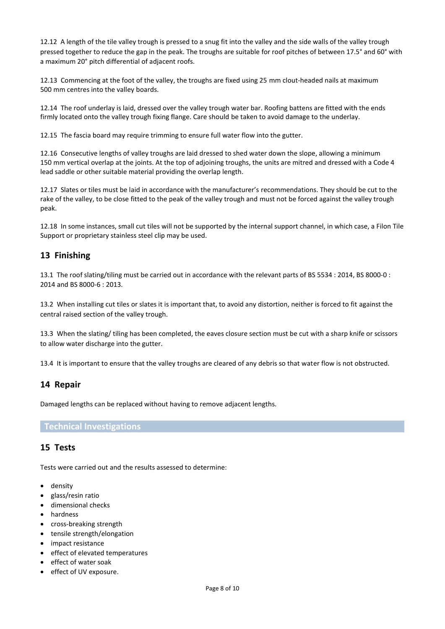12.12 A length of the tile valley trough is pressed to a snug fit into the valley and the side walls of the valley trough pressed together to reduce the gap in the peak. The troughs are suitable for roof pitches of between 17.5° and 60° with a maximum 20° pitch differential of adjacent roofs.

12.13 Commencing at the foot of the valley, the troughs are fixed using 25 mm clout-headed nails at maximum 500 mm centres into the valley boards.

12.14 The roof underlay is laid, dressed over the valley trough water bar. Roofing battens are fitted with the ends firmly located onto the valley trough fixing flange. Care should be taken to avoid damage to the underlay.

12.15 The fascia board may require trimming to ensure full water flow into the gutter.

12.16 Consecutive lengths of valley troughs are laid dressed to shed water down the slope, allowing a minimum 150 mm vertical overlap at the joints. At the top of adjoining troughs, the units are mitred and dressed with a Code 4 lead saddle or other suitable material providing the overlap length.

12.17 Slates or tiles must be laid in accordance with the manufacturer's recommendations. They should be cut to the rake of the valley, to be close fitted to the peak of the valley trough and must not be forced against the valley trough peak.

12.18 In some instances, small cut tiles will not be supported by the internal support channel, in which case, a Filon Tile Support or proprietary stainless steel clip may be used.

# **13 Finishing**

13.1 The roof slating/tiling must be carried out in accordance with the relevant parts of BS 5534 : 2014, BS 8000-0 : 2014 and BS 8000-6 : 2013.

13.2 When installing cut tiles or slates it is important that, to avoid any distortion, neither is forced to fit against the central raised section of the valley trough.

13.3 When the slating/ tiling has been completed, the eaves closure section must be cut with a sharp knife or scissors to allow water discharge into the gutter.

13.4 It is important to ensure that the valley troughs are cleared of any debris so that water flow is not obstructed.

## **14 Repair**

Damaged lengths can be replaced without having to remove adjacent lengths.

#### **Technical Investigations**

## **15 Tests**

Tests were carried out and the results assessed to determine:

- density
- glass/resin ratio
- dimensional checks
- hardness
- cross-breaking strength
- tensile strength/elongation
- impact resistance
- effect of elevated temperatures
- effect of water soak
- effect of UV exposure.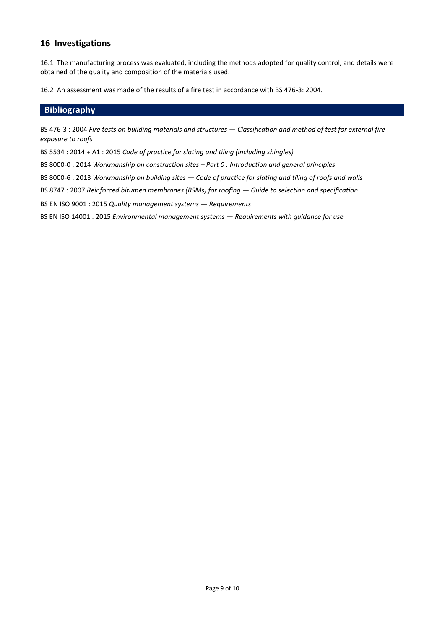# **16 Investigations**

16.1 The manufacturing process was evaluated, including the methods adopted for quality control, and details were obtained of the quality and composition of the materials used.

16.2 An assessment was made of the results of a fire test in accordance with BS 476-3: 2004.

## **Bibliography**

BS 476-3 : 2004 *Fire tests on building materials and structures — Classification and method of test for external fire exposure to roofs*

BS 5534 : 2014 + A1 : 2015 *Code of practice for slating and tiling (including shingles)*

BS 8000-0 : 2014 *Workmanship on construction sites – Part 0 : Introduction and general principles*

BS 8000-6 : 2013 *Workmanship on building sites — Code of practice for slating and tiling of roofs and walls*

BS 8747 : 2007 *Reinforced bitumen membranes (RSMs) for roofing — Guide to selection and specification*

BS EN ISO 9001 : 2015 *Quality management systems — Requirements*

BS EN ISO 14001 : 2015 *Environmental management systems — Requirements with guidance for use*